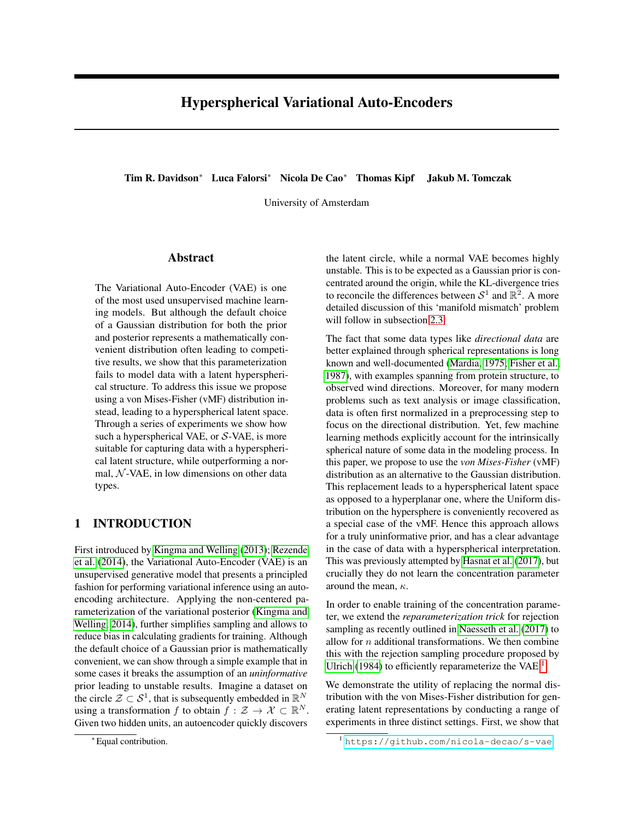# Hyperspherical Variational Auto-Encoders

Tim R. Davidson<sup>∗</sup> Luca Falorsi<sup>∗</sup> Nicola De Cao<sup>∗</sup> Thomas Kipf Jakub M. Tomczak

University of Amsterdam

### Abstract

The Variational Auto-Encoder (VAE) is one of the most used unsupervised machine learning models. But although the default choice of a Gaussian distribution for both the prior and posterior represents a mathematically convenient distribution often leading to competitive results, we show that this parameterization fails to model data with a latent hyperspherical structure. To address this issue we propose using a von Mises-Fisher (vMF) distribution instead, leading to a hyperspherical latent space. Through a series of experiments we show how such a hyperspherical VAE, or  $S$ -VAE, is more suitable for capturing data with a hyperspherical latent structure, while outperforming a normal,  $N$ -VAE, in low dimensions on other data types.

## 1 INTRODUCTION

First introduced by [Kingma and Welling](#page-9-0) [\(2013\)](#page-9-0); [Rezende](#page-9-1) [et al.](#page-9-1) [\(2014\)](#page-9-1), the Variational Auto-Encoder (VAE) is an unsupervised generative model that presents a principled fashion for performing variational inference using an autoencoding architecture. Applying the non-centered parameterization of the variational posterior [\(Kingma and](#page-9-2) [Welling, 2014\)](#page-9-2), further simplifies sampling and allows to reduce bias in calculating gradients for training. Although the default choice of a Gaussian prior is mathematically convenient, we can show through a simple example that in some cases it breaks the assumption of an *uninformative* prior leading to unstable results. Imagine a dataset on the circle  $\mathcal{Z} \subset \mathcal{S}^1$ , that is subsequently embedded in  $\mathbb{R}^N$ using a transformation f to obtain  $f : \mathcal{Z} \to \mathcal{X} \subset \mathbb{R}^N$ . Given two hidden units, an autoencoder quickly discovers

the latent circle, while a normal VAE becomes highly unstable. This is to be expected as a Gaussian prior is concentrated around the origin, while the KL-divergence tries to reconcile the differences between  $S^1$  and  $\mathbb{R}^2$ . A more detailed discussion of this 'manifold mismatch' problem will follow in subsection [2.3.](#page-1-0)

The fact that some data types like *directional data* are better explained through spherical representations is long known and well-documented [\(Mardia, 1975;](#page-9-3) [Fisher et al.,](#page-9-4) [1987\)](#page-9-4), with examples spanning from protein structure, to observed wind directions. Moreover, for many modern problems such as text analysis or image classification, data is often first normalized in a preprocessing step to focus on the directional distribution. Yet, few machine learning methods explicitly account for the intrinsically spherical nature of some data in the modeling process. In this paper, we propose to use the *von Mises-Fisher* (vMF) distribution as an alternative to the Gaussian distribution. This replacement leads to a hyperspherical latent space as opposed to a hyperplanar one, where the Uniform distribution on the hypersphere is conveniently recovered as a special case of the vMF. Hence this approach allows for a truly uninformative prior, and has a clear advantage in the case of data with a hyperspherical interpretation. This was previously attempted by [Hasnat et al.](#page-9-5) [\(2017\)](#page-9-5), but crucially they do not learn the concentration parameter around the mean,  $\kappa$ .

In order to enable training of the concentration parameter, we extend the *reparameterization trick* for rejection sampling as recently outlined in [Naesseth et al.](#page-9-6) [\(2017\)](#page-9-6) to allow for  $n$  additional transformations. We then combine this with the rejection sampling procedure proposed by [Ulrich](#page-9-7) [\(1984\)](#page-9-7) to efficiently reparameterize the VAE<sup>[1](#page-0-0)</sup>.

We demonstrate the utility of replacing the normal distribution with the von Mises-Fisher distribution for generating latent representations by conducting a range of experiments in three distinct settings. First, we show that

<sup>∗</sup> Equal contribution.

<span id="page-0-0"></span><sup>1</sup> <https://github.com/nicola-decao/s-vae>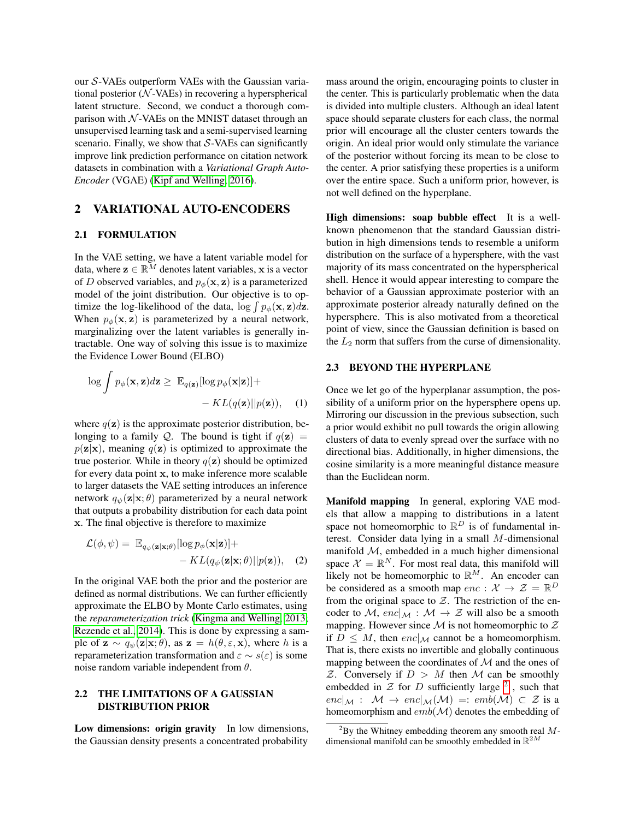our S-VAEs outperform VAEs with the Gaussian variational posterior  $(N$ -VAEs) in recovering a hyperspherical latent structure. Second, we conduct a thorough comparison with  $N$ -VAEs on the MNIST dataset through an unsupervised learning task and a semi-supervised learning scenario. Finally, we show that  $S$ -VAEs can significantly improve link prediction performance on citation network datasets in combination with a *Variational Graph Auto-Encoder* (VGAE) [\(Kipf and Welling, 2016\)](#page-9-8).

### 2 VARIATIONAL AUTO-ENCODERS

#### 2.1 FORMULATION

In the VAE setting, we have a latent variable model for data, where  $z \in \mathbb{R}^M$  denotes latent variables, x is a vector of D observed variables, and  $p_{\phi}(\mathbf{x}, \mathbf{z})$  is a parameterized model of the joint distribution. Our objective is to optimize the log-likelihood of the data,  $\log \int p_{\phi}(\mathbf{x}, \mathbf{z}) d\mathbf{z}$ . When  $p_{\phi}(\mathbf{x}, \mathbf{z})$  is parameterized by a neural network, marginalizing over the latent variables is generally intractable. One way of solving this issue is to maximize the Evidence Lower Bound (ELBO)

$$
\log \int p_{\phi}(\mathbf{x}, \mathbf{z}) d\mathbf{z} \geq \mathbb{E}_{q(\mathbf{z})} [\log p_{\phi}(\mathbf{x}|\mathbf{z})] +
$$

$$
- KL(q(\mathbf{z}) || p(\mathbf{z})), \quad (1)
$$

where  $q(\mathbf{z})$  is the approximate posterior distribution, belonging to a family Q. The bound is tight if  $q(\mathbf{z}) =$  $p(\mathbf{z}|\mathbf{x})$ , meaning  $q(\mathbf{z})$  is optimized to approximate the true posterior. While in theory  $q(z)$  should be optimized for every data point x, to make inference more scalable to larger datasets the VAE setting introduces an inference network  $q_{\psi}(\mathbf{z}|\mathbf{x}; \theta)$  parameterized by a neural network that outputs a probability distribution for each data point x. The final objective is therefore to maximize

$$
\mathcal{L}(\phi, \psi) = \mathbb{E}_{q_{\psi}(\mathbf{z}|\mathbf{x}; \theta)}[\log p_{\phi}(\mathbf{x}|\mathbf{z})] + - KL(q_{\psi}(\mathbf{z}|\mathbf{x}; \theta)||p(\mathbf{z})), \quad (2)
$$

In the original VAE both the prior and the posterior are defined as normal distributions. We can further efficiently approximate the ELBO by Monte Carlo estimates, using the *reparameterization trick* [\(Kingma and Welling, 2013;](#page-9-0) [Rezende et al., 2014\)](#page-9-1). This is done by expressing a sample of  $\mathbf{z} \sim q_{\psi}(\mathbf{z}|\mathbf{x}; \theta)$ , as  $\mathbf{z} = h(\theta, \varepsilon, \mathbf{x})$ , where h is a reparameterization transformation and  $\varepsilon \sim s(\varepsilon)$  is some noise random variable independent from  $\theta$ .

## <span id="page-1-2"></span>2.2 THE LIMITATIONS OF A GAUSSIAN DISTRIBUTION PRIOR

Low dimensions: origin gravity In low dimensions, the Gaussian density presents a concentrated probability mass around the origin, encouraging points to cluster in the center. This is particularly problematic when the data is divided into multiple clusters. Although an ideal latent space should separate clusters for each class, the normal prior will encourage all the cluster centers towards the origin. An ideal prior would only stimulate the variance of the posterior without forcing its mean to be close to the center. A prior satisfying these properties is a uniform over the entire space. Such a uniform prior, however, is not well defined on the hyperplane.

High dimensions: soap bubble effect It is a wellknown phenomenon that the standard Gaussian distribution in high dimensions tends to resemble a uniform distribution on the surface of a hypersphere, with the vast majority of its mass concentrated on the hyperspherical shell. Hence it would appear interesting to compare the behavior of a Gaussian approximate posterior with an approximate posterior already naturally defined on the hypersphere. This is also motivated from a theoretical point of view, since the Gaussian definition is based on the  $L_2$  norm that suffers from the curse of dimensionality.

#### <span id="page-1-0"></span>2.3 BEYOND THE HYPERPLANE

Once we let go of the hyperplanar assumption, the possibility of a uniform prior on the hypersphere opens up. Mirroring our discussion in the previous subsection, such a prior would exhibit no pull towards the origin allowing clusters of data to evenly spread over the surface with no directional bias. Additionally, in higher dimensions, the cosine similarity is a more meaningful distance measure than the Euclidean norm.

Manifold mapping In general, exploring VAE models that allow a mapping to distributions in a latent space not homeomorphic to  $\mathbb{R}^D$  is of fundamental interest. Consider data lying in a small M-dimensional manifold  $M$ , embedded in a much higher dimensional space  $\mathcal{X} = \mathbb{R}^N$ . For most real data, this manifold will likely not be homeomorphic to  $\mathbb{R}^M$ . An encoder can be considered as a smooth map  $enc: \mathcal{X} \to \mathcal{Z} = \mathbb{R}^D$ from the original space to  $Z$ . The restriction of the encoder to M,  $enc|_{\mathcal{M}} : \mathcal{M} \to \mathcal{Z}$  will also be a smooth mapping. However since  $M$  is not homeomorphic to  $Z$ if  $D \leq M$ , then  $enc|_{\mathcal{M}}$  cannot be a homeomorphism. That is, there exists no invertible and globally continuous mapping between the coordinates of  $M$  and the ones of  $Z$ . Conversely if  $D > M$  then M can be smoothly embedded in  $Z$  for  $D$  sufficiently large  $^2$  $^2$ , such that  $enc|_{\mathcal{M}}: \mathcal{M} \rightarrow enc|_{\mathcal{M}}(\mathcal{M}) =: emb(\mathcal{M}) \subset \mathcal{Z}$  is a homeomorphism and  $emb(\mathcal{M})$  denotes the embedding of

<span id="page-1-1"></span> ${}^{2}$ By the Whitney embedding theorem any smooth real Mdimensional manifold can be smoothly embedded in  $\mathbb{R}^{2M}$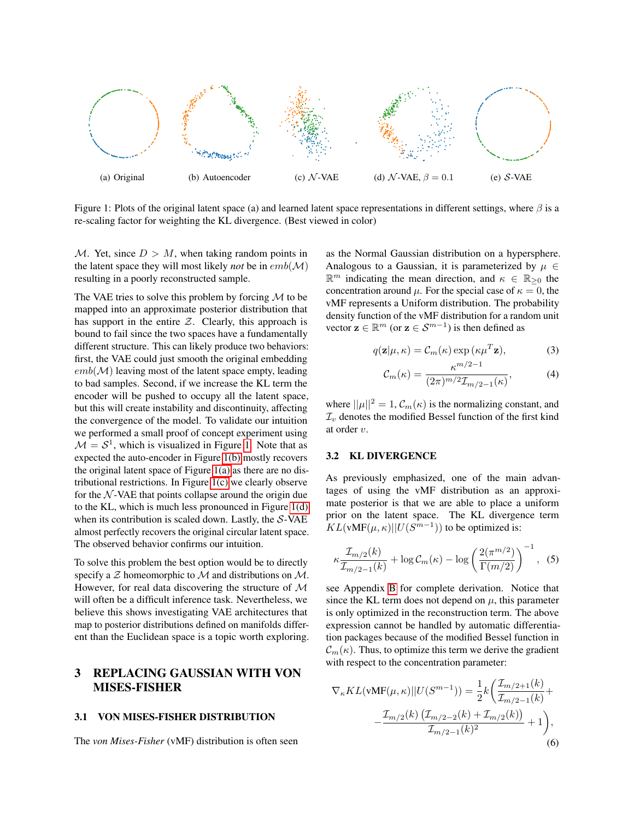<span id="page-2-2"></span>

<span id="page-2-1"></span>Figure 1: Plots of the original latent space (a) and learned latent space representations in different settings, where  $\beta$  is a re-scaling factor for weighting the KL divergence. (Best viewed in color)

M. Yet, since  $D > M$ , when taking random points in the latent space they will most likely *not* be in  $emb(M)$ resulting in a poorly reconstructed sample.

The VAE tries to solve this problem by forcing  $M$  to be mapped into an approximate posterior distribution that has support in the entire  $Z$ . Clearly, this approach is bound to fail since the two spaces have a fundamentally different structure. This can likely produce two behaviors: first, the VAE could just smooth the original embedding  $emb(\mathcal{M})$  leaving most of the latent space empty, leading to bad samples. Second, if we increase the KL term the encoder will be pushed to occupy all the latent space, but this will create instability and discontinuity, affecting the convergence of the model. To validate our intuition we performed a small proof of concept experiment using  $M = S<sup>1</sup>$ , which is visualized in Figure [1.](#page-2-0) Note that as expected the auto-encoder in Figure [1\(b\)](#page-2-1) mostly recovers the original latent space of Figure [1\(a\)](#page-2-2) as there are no distributional restrictions. In Figure [1\(c\)](#page-2-3) we clearly observe for the  $N$ -VAE that points collapse around the origin due to the KL, which is much less pronounced in Figure [1\(d\)](#page-2-4) when its contribution is scaled down. Lastly, the S-VAE almost perfectly recovers the original circular latent space. The observed behavior confirms our intuition.

To solve this problem the best option would be to directly specify a  $Z$  homeomorphic to  $M$  and distributions on  $M$ . However, for real data discovering the structure of  $M$ will often be a difficult inference task. Nevertheless, we believe this shows investigating VAE architectures that map to posterior distributions defined on manifolds different than the Euclidean space is a topic worth exploring.

# 3 REPLACING GAUSSIAN WITH VON MISES-FISHER

#### 3.1 VON MISES-FISHER DISTRIBUTION

The *von Mises-Fisher* (vMF) distribution is often seen

<span id="page-2-4"></span><span id="page-2-3"></span><span id="page-2-0"></span>as the Normal Gaussian distribution on a hypersphere. Analogous to a Gaussian, it is parameterized by  $\mu \in$  $\mathbb{R}^m$  indicating the mean direction, and  $\kappa \in \mathbb{R}_{\geq 0}$  the concentration around  $\mu$ . For the special case of  $\kappa = 0$ , the vMF represents a Uniform distribution. The probability density function of the vMF distribution for a random unit vector  $\mathbf{z} \in \mathbb{R}^m$  (or  $\mathbf{z} \in \mathcal{S}^{m-1}$ ) is then defined as

$$
q(\mathbf{z}|\mu,\kappa) = \mathcal{C}_m(\kappa) \exp(\kappa \mu^T \mathbf{z}),
$$
 (3)

$$
\mathcal{C}_m(\kappa) = \frac{\kappa^{m/2 - 1}}{(2\pi)^{m/2} \mathcal{I}_{m/2 - 1}(\kappa)},
$$
 (4)

where  $||\mu||^2 = 1$ ,  $\mathcal{C}_m(\kappa)$  is the normalizing constant, and  $\mathcal{I}_v$  denotes the modified Bessel function of the first kind at order v.

#### 3.2 KL DIVERGENCE

As previously emphasized, one of the main advantages of using the vMF distribution as an approximate posterior is that we are able to place a uniform prior on the latent space. The KL divergence term  $KL(\text{vMF}(\mu, \kappa)||U(S^{m-1}))$  to be optimized is:

<span id="page-2-5"></span>
$$
\kappa \frac{\mathcal{I}_{m/2}(k)}{\mathcal{I}_{m/2-1}(k)} + \log \mathcal{C}_m(\kappa) - \log \left( \frac{2(\pi^{m/2})}{\Gamma(m/2)} \right)^{-1}, \tag{5}
$$

see Appendix B for complete derivation. Notice that since the KL term does not depend on  $\mu$ , this parameter is only optimized in the reconstruction term. The above expression cannot be handled by automatic differentiation packages because of the modified Bessel function in  $\mathcal{C}_m(\kappa)$ . Thus, to optimize this term we derive the gradient with respect to the concentration parameter:

$$
\nabla_{\kappa} KL(\mathbf{vMF}(\mu, \kappa) || U(S^{m-1})) = \frac{1}{2} k \left( \frac{\mathcal{I}_{m/2+1}(k)}{\mathcal{I}_{m/2-1}(k)} + \frac{\mathcal{I}_{m/2}(k) \left( \mathcal{I}_{m/2-2}(k) + \mathcal{I}_{m/2}(k) \right)}{\mathcal{I}_{m/2-1}(k)^2} + 1 \right),
$$
\n(6)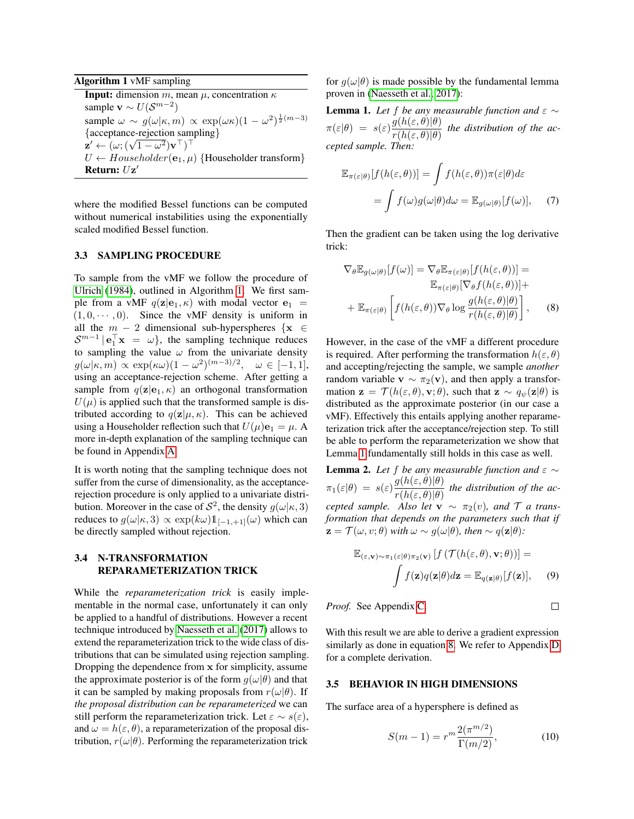Algorithm 1 vMF sampling

<span id="page-3-0"></span>**Input:** dimension m, mean  $\mu$ , concentration  $\kappa$ sample **v**  $\sim U(\mathcal{S}^{m-2})$ sample  $\omega \sim g(\omega|\kappa, m) \propto \exp(\omega \kappa)(1 - \omega^2)^{\frac{1}{2}(m-3)}$ {acceptance-rejection sampling} {acceptance-rejection sam<br>  $\mathbf{z}' \leftarrow (\omega; (\sqrt{1-\omega^2})\mathbf{v}^\top)^\top$  $U \leftarrow Householder(\mathbf{e}_1, \mu)$  {Householder transform} Return:  $Uz'$ 

where the modified Bessel functions can be computed without numerical instabilities using the exponentially scaled modified Bessel function.

#### 3.3 SAMPLING PROCEDURE

To sample from the vMF we follow the procedure of [Ulrich](#page-9-7) [\(1984\)](#page-9-7), outlined in Algorithm [1.](#page-3-0) We first sample from a vMF  $q(\mathbf{z}|\mathbf{e}_1, \kappa)$  with modal vector  $\mathbf{e}_1$  =  $(1, 0, \dots, 0)$ . Since the vMF density is uniform in all the  $m - 2$  dimensional sub-hyperspheres  $\{x \in$  $S^{m-1}$  |  $\mathbf{e}_1^{\top} \mathbf{x} = \omega$ }, the sampling technique reduces to sampling the value  $\omega$  from the univariate density  $g(\omega|\kappa,m) \propto \exp(\kappa \omega)(1-\omega^2)^{(m-3)/2}, \quad \omega \in [-1,1],$ using an acceptance-rejection scheme. After getting a sample from  $q(\mathbf{z}|\mathbf{e}_1, \kappa)$  an orthogonal transformation  $U(\mu)$  is applied such that the transformed sample is distributed according to  $q(\mathbf{z}|\mu, \kappa)$ . This can be achieved using a Householder reflection such that  $U(\mu)\mathbf{e}_1 = \mu$ . A more in-depth explanation of the sampling technique can be found in Appendix A.

It is worth noting that the sampling technique does not suffer from the curse of dimensionality, as the acceptancerejection procedure is only applied to a univariate distribution. Moreover in the case of  $S^2$ , the density  $g(\omega|\kappa,3)$ reduces to  $g(\omega|\kappa,3) \propto \exp(k\omega) \mathbb{1}_{[-1,+1]}(\omega)$  which can be directly sampled without rejection.

## 3.4 N-TRANSFORMATION REPARAMETERIZATION TRICK

While the *reparameterization trick* is easily implementable in the normal case, unfortunately it can only be applied to a handful of distributions. However a recent technique introduced by [Naesseth et al.](#page-9-6) [\(2017\)](#page-9-6) allows to extend the reparameterization trick to the wide class of distributions that can be simulated using rejection sampling. Dropping the dependence from x for simplicity, assume the approximate posterior is of the form  $q(\omega|\theta)$  and that it can be sampled by making proposals from  $r(\omega|\theta)$ . If *the proposal distribution can be reparameterized* we can still perform the reparameterization trick. Let  $\varepsilon \sim s(\varepsilon)$ , and  $\omega = h(\varepsilon, \theta)$ , a reparameterization of the proposal distribution,  $r(\omega|\theta)$ . Performing the reparameterization trick

for  $q(\omega|\theta)$  is made possible by the fundamental lemma proven in [\(Naesseth et al., 2017\)](#page-9-6):

<span id="page-3-1"></span>**Lemma 1.** Let f be any measurable function and  $\varepsilon \sim$  $\pi(\varepsilon|\theta) = s(\varepsilon) \frac{g(h(\varepsilon,\theta)|\theta)}{g(h(\varepsilon,\theta)|\theta)}$  $rac{\partial (h(\varepsilon,\theta))}{\partial r(h(\varepsilon,\theta))}$  the distribution of the ac*cepted sample. Then:*

$$
\mathbb{E}_{\pi(\varepsilon|\theta)}[f(h(\varepsilon,\theta))] = \int f(h(\varepsilon,\theta))\pi(\varepsilon|\theta)d\varepsilon
$$

$$
= \int f(\omega)g(\omega|\theta)d\omega = \mathbb{E}_{g(\omega|\theta)}[f(\omega)], \quad (7)
$$

Then the gradient can be taken using the log derivative trick:

<span id="page-3-2"></span>
$$
\nabla_{\theta} \mathbb{E}_{g(\omega|\theta)}[f(\omega)] = \nabla_{\theta} \mathbb{E}_{\pi(\varepsilon|\theta)}[f(h(\varepsilon,\theta))] =
$$
  

$$
\mathbb{E}_{\pi(\varepsilon|\theta)}[\nabla_{\theta} f(h(\varepsilon,\theta))] +
$$
  

$$
+ \mathbb{E}_{\pi(\varepsilon|\theta)}\left[f(h(\varepsilon,\theta))\nabla_{\theta}\log\frac{g(h(\varepsilon,\theta)|\theta)}{r(h(\varepsilon,\theta)|\theta)}\right],
$$
 (8)

However, in the case of the vMF a different procedure is required. After performing the transformation  $h(\varepsilon, \theta)$ and accepting/rejecting the sample, we sample *another* random variable  $\mathbf{v} \sim \pi_2(\mathbf{v})$ , and then apply a transformation  $\mathbf{z} = \mathcal{T}(h(\varepsilon, \theta), \mathbf{v}; \theta)$ , such that  $\mathbf{z} \sim q_{\psi}(\mathbf{z}|\theta)$  is distributed as the approximate posterior (in our case a vMF). Effectively this entails applying another reparameterization trick after the acceptance/rejection step. To still be able to perform the reparameterization we show that Lemma [1](#page-3-1) fundamentally still holds in this case as well.

**Lemma 2.** Let f be any measurable function and  $\varepsilon \sim$  $\pi_1(\varepsilon|\theta) = s(\varepsilon) \frac{g(h(\varepsilon,\theta)|\theta)}{g(h(\varepsilon,\theta)|\theta)}$  $rac{\partial (h(\varepsilon,\theta))}{\partial r(h(\varepsilon,\theta))}$  the distribution of the ac*cepted sample. Also let*  $\mathbf{v} \sim \pi_2(v)$ *, and*  $\mathcal{T}$  *a transformation that depends on the parameters such that if*  $\mathbf{z} = \mathcal{T}(\omega, v; \theta)$  *with*  $\omega \sim g(\omega|\theta)$ *, then* ~  $q(\mathbf{z}|\theta)$ *:* 

$$
\mathbb{E}_{(\varepsilon,\mathbf{v})\sim\pi_1(\varepsilon|\theta)\pi_2(\mathbf{v})} [f(\mathcal{T}(h(\varepsilon,\theta),\mathbf{v};\theta))] = \int f(\mathbf{z})q(\mathbf{z}|\theta) d\mathbf{z} = \mathbb{E}_{q(\mathbf{z}|\theta)}[f(\mathbf{z})], \quad (9)
$$

*Proof.* See Appendix C.

 $\Box$ 

With this result we are able to derive a gradient expression similarly as done in equation [8.](#page-3-2) We refer to Appendix D for a complete derivation.

#### <span id="page-3-3"></span>3.5 BEHAVIOR IN HIGH DIMENSIONS

The surface area of a hypersphere is defined as

$$
S(m-1) = r^m \frac{2(\pi^{m/2})}{\Gamma(m/2)},
$$
\n(10)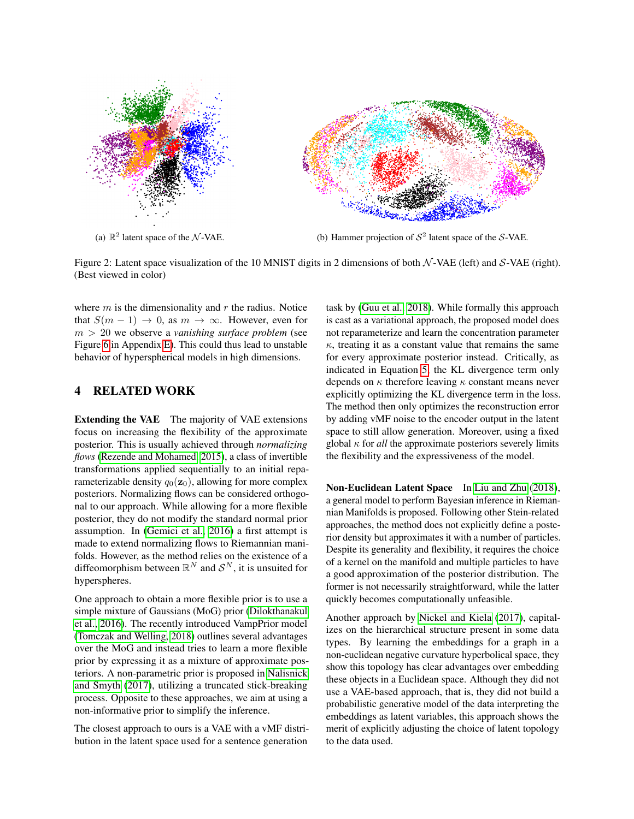<span id="page-4-1"></span>

(a)  $\mathbb{R}^2$ 

latent space of the  $N$ -VAE. (b) Hammer projection of  $S<sup>2</sup>$  latent space of the S-VAE.

Figure 2: Latent space visualization of the 10 MNIST digits in 2 dimensions of both  $\mathcal{N}\text{-VAE}$  (left) and S-VAE (right). (Best viewed in color)

where  $m$  is the dimensionality and  $r$  the radius. Notice that  $S(m - 1) \rightarrow 0$ , as  $m \rightarrow \infty$ . However, even for m > 20 we observe a *vanishing surface problem* (see Figure 6 in Appendix E). This could thus lead to unstable behavior of hyperspherical models in high dimensions.

### 4 RELATED WORK

Extending the VAE The majority of VAE extensions focus on increasing the flexibility of the approximate posterior. This is usually achieved through *normalizing flows* [\(Rezende and Mohamed, 2015\)](#page-9-9), a class of invertible transformations applied sequentially to an initial reparameterizable density  $q_0(\mathbf{z}_0)$ , allowing for more complex posteriors. Normalizing flows can be considered orthogonal to our approach. While allowing for a more flexible posterior, they do not modify the standard normal prior assumption. In [\(Gemici et al., 2016\)](#page-9-10) a first attempt is made to extend normalizing flows to Riemannian manifolds. However, as the method relies on the existence of a diffeomorphism between  $\mathbb{R}^N$  and  $\mathcal{S}^N$ , it is unsuited for hyperspheres.

One approach to obtain a more flexible prior is to use a simple mixture of Gaussians (MoG) prior [\(Dilokthanakul](#page-9-11) [et al., 2016\)](#page-9-11). The recently introduced VampPrior model [\(Tomczak and Welling, 2018\)](#page-9-12) outlines several advantages over the MoG and instead tries to learn a more flexible prior by expressing it as a mixture of approximate posteriors. A non-parametric prior is proposed in [Nalisnick](#page-9-13) [and Smyth](#page-9-13) [\(2017\)](#page-9-13), utilizing a truncated stick-breaking process. Opposite to these approaches, we aim at using a non-informative prior to simplify the inference.

The closest approach to ours is a VAE with a vMF distribution in the latent space used for a sentence generation

<span id="page-4-2"></span><span id="page-4-0"></span>task by [\(Guu et al., 2018\)](#page-9-14). While formally this approach is cast as a variational approach, the proposed model does not reparameterize and learn the concentration parameter  $\kappa$ , treating it as a constant value that remains the same for every approximate posterior instead. Critically, as indicated in Equation [5,](#page-2-5) the KL divergence term only depends on  $\kappa$  therefore leaving  $\kappa$  constant means never explicitly optimizing the KL divergence term in the loss. The method then only optimizes the reconstruction error by adding vMF noise to the encoder output in the latent space to still allow generation. Moreover, using a fixed global  $\kappa$  for *all* the approximate posteriors severely limits the flexibility and the expressiveness of the model.

Non-Euclidean Latent Space In [Liu and Zhu](#page-9-15) [\(2018\)](#page-9-15), a general model to perform Bayesian inference in Riemannian Manifolds is proposed. Following other Stein-related approaches, the method does not explicitly define a posterior density but approximates it with a number of particles. Despite its generality and flexibility, it requires the choice of a kernel on the manifold and multiple particles to have a good approximation of the posterior distribution. The former is not necessarily straightforward, while the latter quickly becomes computationally unfeasible.

Another approach by [Nickel and Kiela](#page-9-16) [\(2017\)](#page-9-16), capitalizes on the hierarchical structure present in some data types. By learning the embeddings for a graph in a non-euclidean negative curvature hyperbolical space, they show this topology has clear advantages over embedding these objects in a Euclidean space. Although they did not use a VAE-based approach, that is, they did not build a probabilistic generative model of the data interpreting the embeddings as latent variables, this approach shows the merit of explicitly adjusting the choice of latent topology to the data used.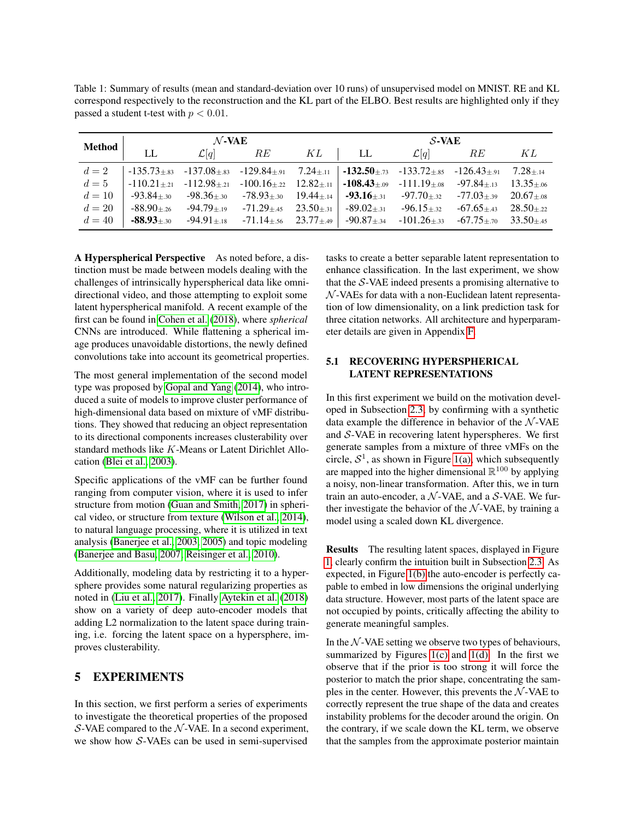<span id="page-5-0"></span>Table 1: Summary of results (mean and standard-deviation over 10 runs) of unsupervised model on MNIST. RE and KL correspond respectively to the reconstruction and the KL part of the ELBO. Best results are highlighted only if they passed a student t-test with  $p < 0.01$ .

|        | $\cal N$ -VAE<br><b>Method</b> LL $\mathcal{L}[q]$ RE $\overline{KL}$ LL $\mathcal{L}[q]$ RE $KL$ |                                                                                                                                                                 |  |  |  |  |  |  |
|--------|---------------------------------------------------------------------------------------------------|-----------------------------------------------------------------------------------------------------------------------------------------------------------------|--|--|--|--|--|--|
|        |                                                                                                   |                                                                                                                                                                 |  |  |  |  |  |  |
|        |                                                                                                   | $d = 2$ -135.73±.83 -137.08±.83 -129.84±.91 7.24±.11 -132.50±.73 -133.72±.85 -126.43±.91 7.28±.14                                                               |  |  |  |  |  |  |
|        |                                                                                                   | $d = 5$ -110.21 $\pm$ .21 -112.98 $\pm$ .21 -100.16 $\pm$ .22 12.82 $\pm$ .11 -108.43 $\pm$ .09 -111.19 $\pm$ .08 -97.84 $\pm$ .13 13.35 $\pm$ .06              |  |  |  |  |  |  |
| $d=10$ |                                                                                                   | $\vert$ -93.84 $\pm$ .30 -98.36 $\pm$ .30 -78.93 $\pm$ .30 19.44 $\pm$ .14 -93.16 $\pm$ .31 -97.70 $\pm$ .32 -77.03 $\pm$ .39 20.67 $\pm$ .08                   |  |  |  |  |  |  |
|        |                                                                                                   | $d = 20$ $-88.90 \pm 26$ $-94.79 \pm 19$ $-71.29 \pm 45$ $23.50 \pm 31$ $-89.02 \pm 31$ $-96.15 \pm 32$ $-67.65 \pm 43$ $28.50 \pm 22$                          |  |  |  |  |  |  |
|        |                                                                                                   | $d = 40$ <b>-88.93</b> ±.30 <b>-94.91</b> ±.18 <b>-71.14</b> ±.56 <b>23.77</b> ±.49 <b>-90.87</b> ±.34 <b>-101.26</b> ±.33 <b>-67.75</b> ±.70 <b>33.50</b> ±.45 |  |  |  |  |  |  |

A Hyperspherical Perspective As noted before, a distinction must be made between models dealing with the challenges of intrinsically hyperspherical data like omnidirectional video, and those attempting to exploit some latent hyperspherical manifold. A recent example of the first can be found in [Cohen et al.](#page-9-17) [\(2018\)](#page-9-17), where *spherical* CNNs are introduced. While flattening a spherical image produces unavoidable distortions, the newly defined convolutions take into account its geometrical properties.

The most general implementation of the second model type was proposed by [Gopal and Yang](#page-9-18) [\(2014\)](#page-9-18), who introduced a suite of models to improve cluster performance of high-dimensional data based on mixture of vMF distributions. They showed that reducing an object representation to its directional components increases clusterability over standard methods like K-Means or Latent Dirichlet Allocation [\(Blei et al., 2003\)](#page-9-19).

Specific applications of the vMF can be further found ranging from computer vision, where it is used to infer structure from motion [\(Guan and Smith, 2017\)](#page-9-20) in spherical video, or structure from texture [\(Wilson et al., 2014\)](#page-9-21), to natural language processing, where it is utilized in text analysis [\(Banerjee et al., 2003,](#page-9-22) [2005\)](#page-9-23) and topic modeling [\(Banerjee and Basu, 2007;](#page-8-0) [Reisinger et al., 2010\)](#page-9-24).

Additionally, modeling data by restricting it to a hypersphere provides some natural regularizing properties as noted in [\(Liu et al., 2017\)](#page-9-25). Finally [Aytekin et al.](#page-8-1) [\(2018\)](#page-8-1) show on a variety of deep auto-encoder models that adding L2 normalization to the latent space during training, i.e. forcing the latent space on a hypersphere, improves clusterability.

## 5 EXPERIMENTS

In this section, we first perform a series of experiments to investigate the theoretical properties of the proposed S-VAE compared to the  $N$ -VAE. In a second experiment, we show how S-VAEs can be used in semi-supervised tasks to create a better separable latent representation to enhance classification. In the last experiment, we show that the  $S$ -VAE indeed presents a promising alternative to  $N$ -VAEs for data with a non-Euclidean latent representation of low dimensionality, on a link prediction task for three citation networks. All architecture and hyperparameter details are given in Appendix F.

## 5.1 RECOVERING HYPERSPHERICAL LATENT REPRESENTATIONS

In this first experiment we build on the motivation developed in Subsection [2.3,](#page-1-0) by confirming with a synthetic data example the difference in behavior of the  $N$ -VAE and  $S$ -VAE in recovering latent hyperspheres. We first generate samples from a mixture of three vMFs on the circle,  $S^1$ , as shown in Figure [1\(a\),](#page-2-2) which subsequently are mapped into the higher dimensional  $\mathbb{R}^{100}$  by applying a noisy, non-linear transformation. After this, we in turn train an auto-encoder, a  $N$ -VAE, and a  $S$ -VAE. We further investigate the behavior of the  $N$ -VAE, by training a model using a scaled down KL divergence.

Results The resulting latent spaces, displayed in Figure [1,](#page-2-0) clearly confirm the intuition built in Subsection [2.3.](#page-1-0) As expected, in Figure [1\(b\)](#page-2-1) the auto-encoder is perfectly capable to embed in low dimensions the original underlying data structure. However, most parts of the latent space are not occupied by points, critically affecting the ability to generate meaningful samples.

In the  $N$ -VAE setting we observe two types of behaviours, summarized by Figures  $1(c)$  and  $1(d)$ . In the first we observe that if the prior is too strong it will force the posterior to match the prior shape, concentrating the samples in the center. However, this prevents the  $N$ -VAE to correctly represent the true shape of the data and creates instability problems for the decoder around the origin. On the contrary, if we scale down the KL term, we observe that the samples from the approximate posterior maintain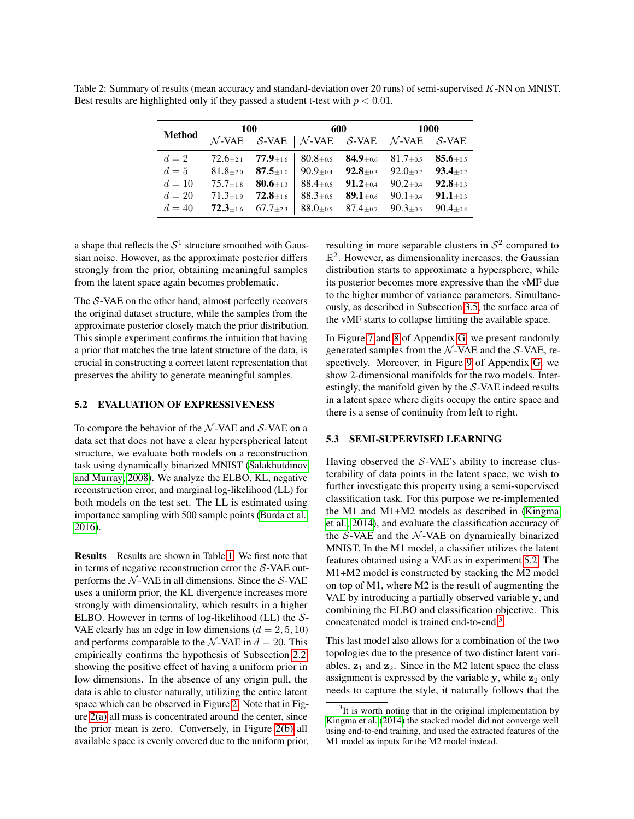<span id="page-6-2"></span>Table 2: Summary of results (mean accuracy and standard-deviation over 20 runs) of semi-supervised K-NN on MNIST. Best results are highlighted only if they passed a student t-test with  $p < 0.01$ .

|        | Method $\begin{array}{ l c c c c c }\n\hline\n & 100 & 600 & 1000 \\ \hline\n\mathcal{N}\text{-VAE} & \mathcal{S}\text{-VAE} & \mathcal{N}\text{-VAE} & \mathcal{S}\text{-VAE} & \mathcal{N}\text{-VAE} & \mathcal{S}\text{-VAE}\n\hline\n\end{array}$ |  |  |  |  |  |
|--------|--------------------------------------------------------------------------------------------------------------------------------------------------------------------------------------------------------------------------------------------------------|--|--|--|--|--|
|        |                                                                                                                                                                                                                                                        |  |  |  |  |  |
|        | $d=2$   72.6 $\pm$ 2.1 77.9 $\pm$ 1.6   80.8 $\pm$ 0.5 <b>84.9</b> $\pm$ 0.6   81.7 $\pm$ 0.5 <b>85.6</b> $\pm$ 0.5                                                                                                                                    |  |  |  |  |  |
|        | $d=5$   81.8±2.0 <b>87.5</b> ±1.0   90.9±0.4 <b>92.8</b> ±0.3   92.0±0.2 <b>93.4</b> ±0.2                                                                                                                                                              |  |  |  |  |  |
| $d=10$ | 75.7 $\pm$ 1.8 <b>80.6</b> $\pm$ 1.3   88.4 $\pm$ 0.5 <b>91.2</b> $\pm$ 0.4   90.2 $\pm$ 0.4 <b>92.8</b> $\pm$ 0.3                                                                                                                                     |  |  |  |  |  |
| $d=20$ | $71.3{\scriptstyle \pm 1.9}$ $72.8{\scriptstyle \pm 1.6}$   $88.3{\scriptstyle \pm 0.5}$ $89.1{\scriptstyle \pm 0.6}$   $90.1{\scriptstyle \pm 0.4}$ $91.1{\scriptstyle \pm 0.3}$                                                                      |  |  |  |  |  |
| $d=40$ | <b>72.3</b> ±1.6 67.7±2.3   88.0±0.5 87.4±0.7   90.3±0.5 90.4±0.4                                                                                                                                                                                      |  |  |  |  |  |

a shape that reflects the  $S<sup>1</sup>$  structure smoothed with Gaussian noise. However, as the approximate posterior differs strongly from the prior, obtaining meaningful samples from the latent space again becomes problematic.

The  $S$ -VAE on the other hand, almost perfectly recovers the original dataset structure, while the samples from the approximate posterior closely match the prior distribution. This simple experiment confirms the intuition that having a prior that matches the true latent structure of the data, is crucial in constructing a correct latent representation that preserves the ability to generate meaningful samples.

## <span id="page-6-0"></span>5.2 EVALUATION OF EXPRESSIVENESS

To compare the behavior of the  $N$ -VAE and S-VAE on a data set that does not have a clear hyperspherical latent structure, we evaluate both models on a reconstruction task using dynamically binarized MNIST [\(Salakhutdinov](#page-9-26) [and Murray, 2008\)](#page-9-26). We analyze the ELBO, KL, negative reconstruction error, and marginal log-likelihood (LL) for both models on the test set. The LL is estimated using importance sampling with 500 sample points [\(Burda et al.,](#page-9-27) [2016\)](#page-9-27).

Results Results are shown in Table [1.](#page-5-0) We first note that in terms of negative reconstruction error the  $S$ -VAE outperforms the  $N$ -VAE in all dimensions. Since the  $S$ -VAE uses a uniform prior, the KL divergence increases more strongly with dimensionality, which results in a higher ELBO. However in terms of log-likelihood (LL) the  $S$ -VAE clearly has an edge in low dimensions  $(d = 2, 5, 10)$ and performs comparable to the  $N$ -VAE in  $d = 20$ . This empirically confirms the hypothesis of Subsection [2.2,](#page-1-2) showing the positive effect of having a uniform prior in low dimensions. In the absence of any origin pull, the data is able to cluster naturally, utilizing the entire latent space which can be observed in Figure [2.](#page-4-0) Note that in Figure [2\(a\)](#page-4-1) all mass is concentrated around the center, since the prior mean is zero. Conversely, in Figure [2\(b\)](#page-4-2) all available space is evenly covered due to the uniform prior,

resulting in more separable clusters in  $S<sup>2</sup>$  compared to  $\mathbb{R}^2$ . However, as dimensionality increases, the Gaussian distribution starts to approximate a hypersphere, while its posterior becomes more expressive than the vMF due to the higher number of variance parameters. Simultaneously, as described in Subsection [3.5,](#page-3-3) the surface area of the vMF starts to collapse limiting the available space.

In Figure 7 and 8 of Appendix G, we present randomly generated samples from the  $N$ -VAE and the S-VAE, respectively. Moreover, in Figure 9 of Appendix G, we show 2-dimensional manifolds for the two models. Interestingly, the manifold given by the  $S$ -VAE indeed results in a latent space where digits occupy the entire space and there is a sense of continuity from left to right.

#### 5.3 SEMI-SUPERVISED LEARNING

Having observed the  $S$ -VAE's ability to increase clusterability of data points in the latent space, we wish to further investigate this property using a semi-supervised classification task. For this purpose we re-implemented the M1 and M1+M2 models as described in [\(Kingma](#page-9-28) [et al., 2014\)](#page-9-28), and evaluate the classification accuracy of the  $S$ -VAE and the  $N$ -VAE on dynamically binarized MNIST. In the M1 model, a classifier utilizes the latent features obtained using a VAE as in experiment [5.2.](#page-6-0) The M1+M2 model is constructed by stacking the M2 model on top of M1, where M2 is the result of augmenting the VAE by introducing a partially observed variable y, and combining the ELBO and classification objective. This concatenated model is trained end-to-end<sup>[3](#page-6-1)</sup>.

This last model also allows for a combination of the two topologies due to the presence of two distinct latent variables,  $z_1$  and  $z_2$ . Since in the M2 latent space the class assignment is expressed by the variable  $y$ , while  $z_2$  only needs to capture the style, it naturally follows that the

<span id="page-6-1"></span> $3$ It is worth noting that in the original implementation by [Kingma et al.](#page-9-28) [\(2014\)](#page-9-28) the stacked model did not converge well using end-to-end training, and used the extracted features of the M1 model as inputs for the M2 model instead.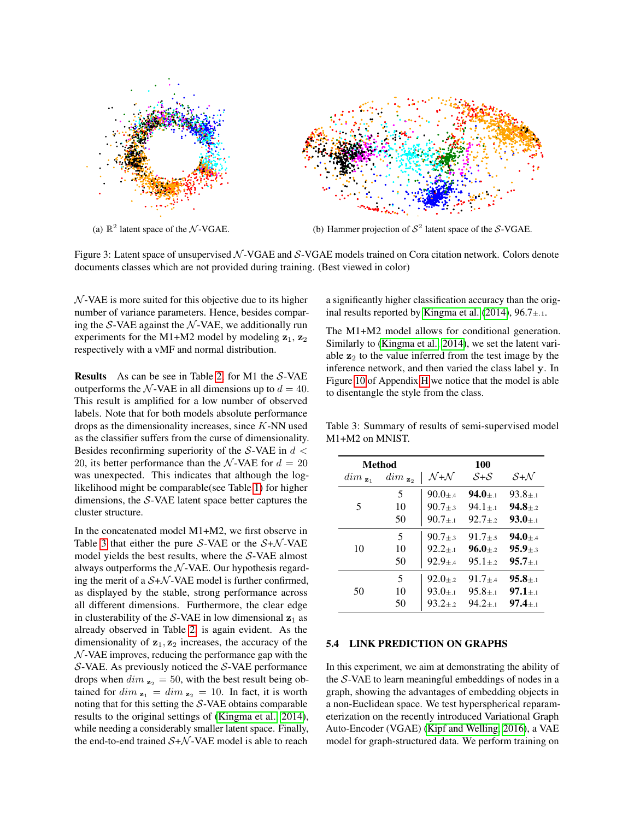<span id="page-7-1"></span>

Figure 3: Latent space of unsupervised  $N$ -VGAE and  $S$ -VGAE models trained on Cora citation network. Colors denote documents classes which are not provided during training. (Best viewed in color)

 $N$ -VAE is more suited for this objective due to its higher number of variance parameters. Hence, besides comparing the  $S$ -VAE against the  $N$ -VAE, we additionally run experiments for the M1+M2 model by modeling  $z_1$ ,  $z_2$ respectively with a vMF and normal distribution.

Results As can be see in Table [2,](#page-6-2) for M1 the S-VAE outperforms the N-VAE in all dimensions up to  $d = 40$ . This result is amplified for a low number of observed labels. Note that for both models absolute performance drops as the dimensionality increases, since  $K$ -NN used as the classifier suffers from the curse of dimensionality. Besides reconfirming superiority of the S-VAE in  $d \leq$ 20, its better performance than the N-VAE for  $d = 20$ was unexpected. This indicates that although the loglikelihood might be comparable(see Table [1\)](#page-5-0) for higher dimensions, the S-VAE latent space better captures the cluster structure.

In the concatenated model M1+M2, we first observe in Table [3](#page-7-0) that either the pure S-VAE or the  $S+N$ -VAE model yields the best results, where the S-VAE almost always outperforms the  $N$ -VAE. Our hypothesis regarding the merit of a  $S+N$ -VAE model is further confirmed, as displayed by the stable, strong performance across all different dimensions. Furthermore, the clear edge in clusterability of the S-VAE in low dimensional  $z_1$  as already observed in Table [2,](#page-6-2) is again evident. As the dimensionality of  $z_1, z_2$  increases, the accuracy of the  $N$ -VAE improves, reducing the performance gap with the S-VAE. As previously noticed the S-VAE performance drops when  $\dim_{\mathbf{z}_2} = 50$ , with the best result being obtained for  $\dim_{\mathbf{z}_1} = \dim_{\mathbf{z}_2} = 10$ . In fact, it is worth noting that for this setting the  $S$ -VAE obtains comparable results to the original settings of [\(Kingma et al., 2014\)](#page-9-28), while needing a considerably smaller latent space. Finally, the end-to-end trained  $S+N$ -VAE model is able to reach

<span id="page-7-2"></span>a significantly higher classification accuracy than the orig-inal results reported by [Kingma et al.](#page-9-28) [\(2014\)](#page-9-28),  $96.7 \pm .1$ .

The M1+M2 model allows for conditional generation. Similarly to [\(Kingma et al., 2014\)](#page-9-28), we set the latent variable  $z_2$  to the value inferred from the test image by the inference network, and then varied the class label y. In Figure 10 of Appendix H we notice that the model is able to disentangle the style from the class.

<span id="page-7-0"></span>Table 3: Summary of results of semi-supervised model M1+M2 on MNIST.

|                       | <b>Method</b>         | 100                       |            |                 |  |
|-----------------------|-----------------------|---------------------------|------------|-----------------|--|
| $\dim_{\mathbf{z}_1}$ | $\dim_{\mathbf{z}_2}$ | $\mathcal{N}+\mathcal{N}$ | $S + S$    | $S+N$           |  |
|                       | 5                     | $90.0 + 4$                | $94.0 + 1$ | $93.8 + 1$      |  |
| 5                     | 10                    | $90.7 + 3$                | $94.1 + i$ | $94.8 + 2$      |  |
|                       | 50                    | $90.7 + 1$                | $92.7 + 2$ | $93.0 + 1$      |  |
|                       | 5                     | $90.7 + 3$                | $91.7 + 5$ | $94.0 + 4$      |  |
| 10                    | 10                    | $92.2 + 1$                | $96.0 + 2$ | $95.9 + 3$      |  |
|                       | 50                    | $92.9 + 4$                | $95.1 + 2$ | $95.7 + 1$      |  |
|                       | 5                     | $92.0 + 2$                | $91.7 + 4$ | $95.8 + 1$      |  |
| 50                    | 10                    | $93.0 + 1$                | $95.8 + 1$ | $97.1 + .1$     |  |
|                       | 50                    | $93.2 + 2$                | $94.2 + 1$ | $97.4_{\pm .1}$ |  |

#### 5.4 LINK PREDICTION ON GRAPHS

In this experiment, we aim at demonstrating the ability of the S-VAE to learn meaningful embeddings of nodes in a graph, showing the advantages of embedding objects in a non-Euclidean space. We test hyperspherical reparameterization on the recently introduced Variational Graph Auto-Encoder (VGAE) [\(Kipf and Welling, 2016\)](#page-9-8), a VAE model for graph-structured data. We perform training on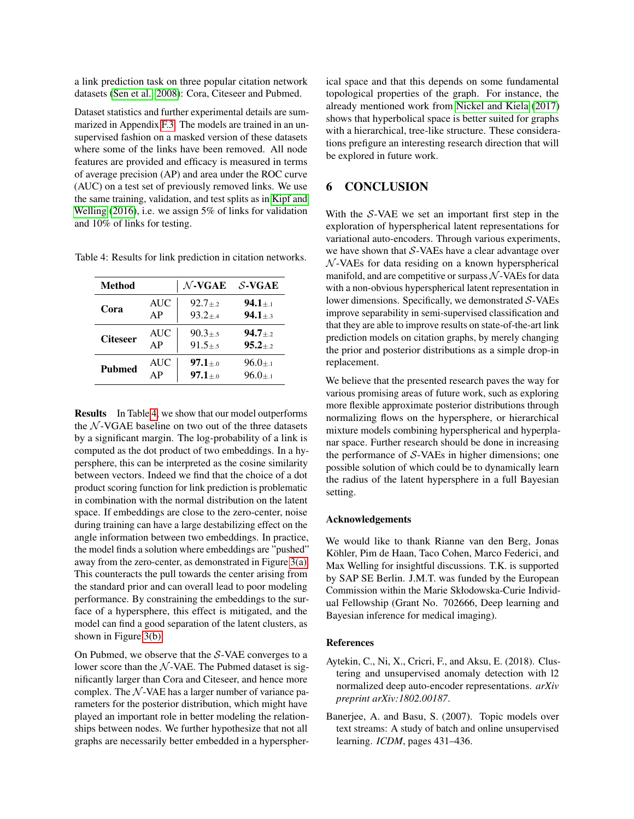a link prediction task on three popular citation network datasets [\(Sen et al., 2008\)](#page-9-29): Cora, Citeseer and Pubmed.

Dataset statistics and further experimental details are summarized in Appendix F.3. The models are trained in an unsupervised fashion on a masked version of these datasets where some of the links have been removed. All node features are provided and efficacy is measured in terms of average precision (AP) and area under the ROC curve (AUC) on a test set of previously removed links. We use the same training, validation, and test splits as in [Kipf and](#page-9-8) [Welling](#page-9-8) [\(2016\)](#page-9-8), i.e. we assign 5% of links for validation and 10% of links for testing.

<span id="page-8-2"></span>Table 4: Results for link prediction in citation networks.

| <b>Method</b>   |            | $\mathcal{N}\text{-}\mathbf{VGAE}$ | $S$ -VGAE                   |
|-----------------|------------|------------------------------------|-----------------------------|
| Cora            | <b>AUC</b> | $92.7 + 2$                         | $94.1 + 1$                  |
|                 | AP         | $93.2 + 4$                         | $94.1{\scriptstyle \pm.3}$  |
| <b>Citeseer</b> | <b>AUC</b> | $90.3 + 5$                         | $94.7{\scriptstyle \pm .2}$ |
|                 | AP         | $91.5 + 5$                         | $95.2 + 2$                  |
| <b>Pubmed</b>   | <b>AUC</b> | $97.1_{+0}$                        | $96.0 + 1$                  |
|                 | AP         | $97.1{\scriptstyle \pm .0}$        | $96.0 + 1$                  |

Results In Table [4,](#page-8-2) we show that our model outperforms the  $N$ -VGAE baseline on two out of the three datasets by a significant margin. The log-probability of a link is computed as the dot product of two embeddings. In a hypersphere, this can be interpreted as the cosine similarity between vectors. Indeed we find that the choice of a dot product scoring function for link prediction is problematic in combination with the normal distribution on the latent space. If embeddings are close to the zero-center, noise during training can have a large destabilizing effect on the angle information between two embeddings. In practice, the model finds a solution where embeddings are "pushed" away from the zero-center, as demonstrated in Figure [3\(a\).](#page-7-1) This counteracts the pull towards the center arising from the standard prior and can overall lead to poor modeling performance. By constraining the embeddings to the surface of a hypersphere, this effect is mitigated, and the model can find a good separation of the latent clusters, as shown in Figure [3\(b\).](#page-7-2)

On Pubmed, we observe that the S-VAE converges to a lower score than the  $N$ -VAE. The Pubmed dataset is significantly larger than Cora and Citeseer, and hence more complex. The  $N$ -VAE has a larger number of variance parameters for the posterior distribution, which might have played an important role in better modeling the relationships between nodes. We further hypothesize that not all graphs are necessarily better embedded in a hyperspherical space and that this depends on some fundamental topological properties of the graph. For instance, the already mentioned work from [Nickel and Kiela](#page-9-16) [\(2017\)](#page-9-16) shows that hyperbolical space is better suited for graphs with a hierarchical, tree-like structure. These considerations prefigure an interesting research direction that will be explored in future work.

## 6 CONCLUSION

With the  $S$ -VAE we set an important first step in the exploration of hyperspherical latent representations for variational auto-encoders. Through various experiments, we have shown that  $S$ -VAEs have a clear advantage over  $N$ -VAEs for data residing on a known hyperspherical manifold, and are competitive or surpass  $N$ -VAEs for data with a non-obvious hyperspherical latent representation in lower dimensions. Specifically, we demonstrated S-VAEs improve separability in semi-supervised classification and that they are able to improve results on state-of-the-art link prediction models on citation graphs, by merely changing the prior and posterior distributions as a simple drop-in replacement.

We believe that the presented research paves the way for various promising areas of future work, such as exploring more flexible approximate posterior distributions through normalizing flows on the hypersphere, or hierarchical mixture models combining hyperspherical and hyperplanar space. Further research should be done in increasing the performance of  $S$ -VAEs in higher dimensions; one possible solution of which could be to dynamically learn the radius of the latent hypersphere in a full Bayesian setting.

#### Acknowledgements

We would like to thank Rianne van den Berg, Jonas Köhler, Pim de Haan, Taco Cohen, Marco Federici, and Max Welling for insightful discussions. T.K. is supported by SAP SE Berlin. J.M.T. was funded by the European Commission within the Marie Skłodowska-Curie Individual Fellowship (Grant No. 702666, Deep learning and Bayesian inference for medical imaging).

### References

- <span id="page-8-1"></span>Aytekin, C., Ni, X., Cricri, F., and Aksu, E. (2018). Clustering and unsupervised anomaly detection with l2 normalized deep auto-encoder representations. *arXiv preprint arXiv:1802.00187*.
- <span id="page-8-0"></span>Banerjee, A. and Basu, S. (2007). Topic models over text streams: A study of batch and online unsupervised learning. *ICDM*, pages 431–436.